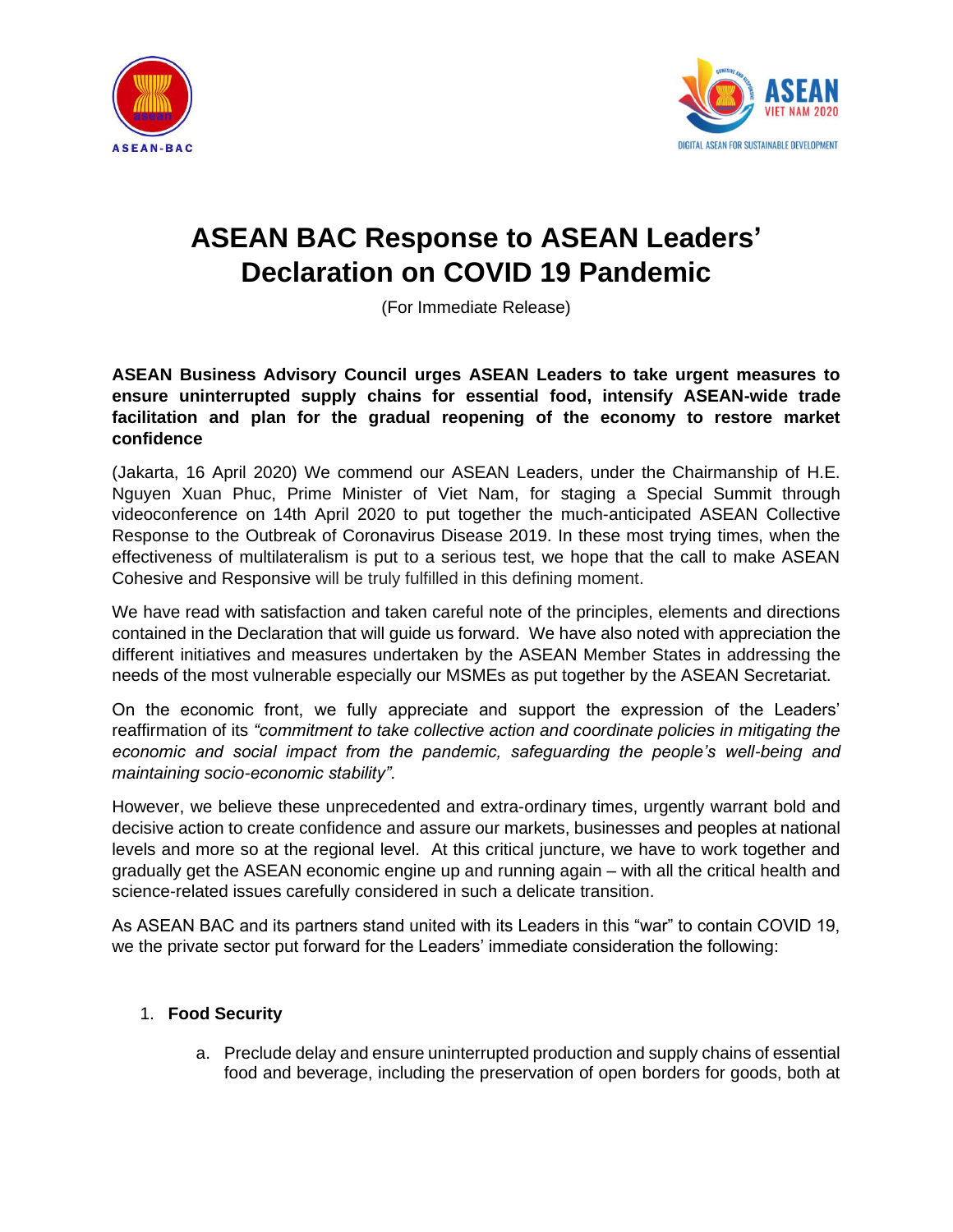



# **ASEAN BAC Response to ASEAN Leaders' Declaration on COVID 19 Pandemic**

(For Immediate Release)

## **ASEAN Business Advisory Council urges ASEAN Leaders to take urgent measures to ensure uninterrupted supply chains for essential food, intensify ASEAN-wide trade facilitation and plan for the gradual reopening of the economy to restore market confidence**

(Jakarta, 16 April 2020) We commend our ASEAN Leaders, under the Chairmanship of H.E. Nguyen Xuan Phuc, Prime Minister of Viet Nam, for staging a Special Summit through videoconference on 14th April 2020 to put together the much-anticipated ASEAN Collective Response to the Outbreak of Coronavirus Disease 2019. In these most trying times, when the effectiveness of multilateralism is put to a serious test, we hope that the call to make ASEAN Cohesive and Responsive will be truly fulfilled in this defining moment.

We have read with satisfaction and taken careful note of the principles, elements and directions contained in the Declaration that will guide us forward. We have also noted with appreciation the different initiatives and measures undertaken by the ASEAN Member States in addressing the needs of the most vulnerable especially our MSMEs as put together by the ASEAN Secretariat.

On the economic front, we fully appreciate and support the expression of the Leaders' reaffirmation of its *"commitment to take collective action and coordinate policies in mitigating the economic and social impact from the pandemic, safeguarding the people's well-being and maintaining socio-economic stability".* 

However, we believe these unprecedented and extra-ordinary times, urgently warrant bold and decisive action to create confidence and assure our markets, businesses and peoples at national levels and more so at the regional level. At this critical juncture, we have to work together and gradually get the ASEAN economic engine up and running again – with all the critical health and science-related issues carefully considered in such a delicate transition.

As ASEAN BAC and its partners stand united with its Leaders in this "war" to contain COVID 19, we the private sector put forward for the Leaders' immediate consideration the following:

## 1. **Food Security**

a. Preclude delay and ensure uninterrupted production and supply chains of essential food and beverage, including the preservation of open borders for goods, both at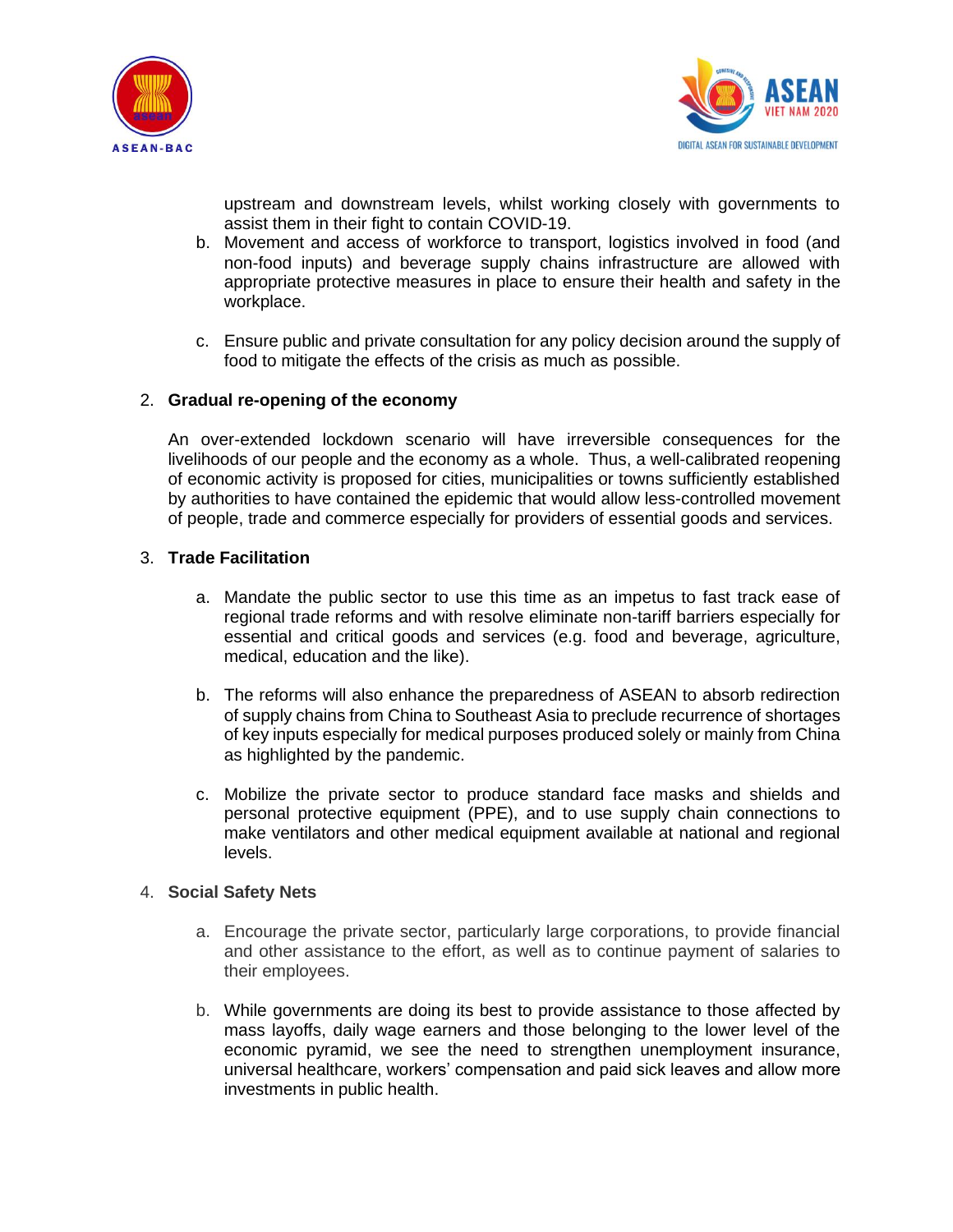



upstream and downstream levels, whilst working closely with governments to assist them in their fight to contain COVID-19.

- b. Movement and access of workforce to transport, logistics involved in food (and non-food inputs) and beverage supply chains infrastructure are allowed with appropriate protective measures in place to ensure their health and safety in the workplace.
- c. Ensure public and private consultation for any policy decision around the supply of food to mitigate the effects of the crisis as much as possible.

### 2. **Gradual re-opening of the economy**

An over-extended lockdown scenario will have irreversible consequences for the livelihoods of our people and the economy as a whole. Thus, a well-calibrated reopening of economic activity is proposed for cities, municipalities or towns sufficiently established by authorities to have contained the epidemic that would allow less-controlled movement of people, trade and commerce especially for providers of essential goods and services.

### 3. **Trade Facilitation**

- a. Mandate the public sector to use this time as an impetus to fast track ease of regional trade reforms and with resolve eliminate non-tariff barriers especially for essential and critical goods and services (e.g. food and beverage, agriculture, medical, education and the like).
- b. The reforms will also enhance the preparedness of ASEAN to absorb redirection of supply chains from China to Southeast Asia to preclude recurrence of shortages of key inputs especially for medical purposes produced solely or mainly from China as highlighted by the pandemic.
- c. Mobilize the private sector to produce standard face masks and shields and personal protective equipment (PPE), and to use supply chain connections to make ventilators and other medical equipment available at national and regional levels.

#### 4. **Social Safety Nets**

- a. Encourage the private sector, particularly large corporations, to provide financial and other assistance to the effort, as well as to continue payment of salaries to their employees.
- b. While governments are doing its best to provide assistance to those affected by mass layoffs, daily wage earners and those belonging to the lower level of the economic pyramid, we see the need to strengthen unemployment insurance, universal healthcare, workers' compensation and paid sick leaves and allow more investments in public health.